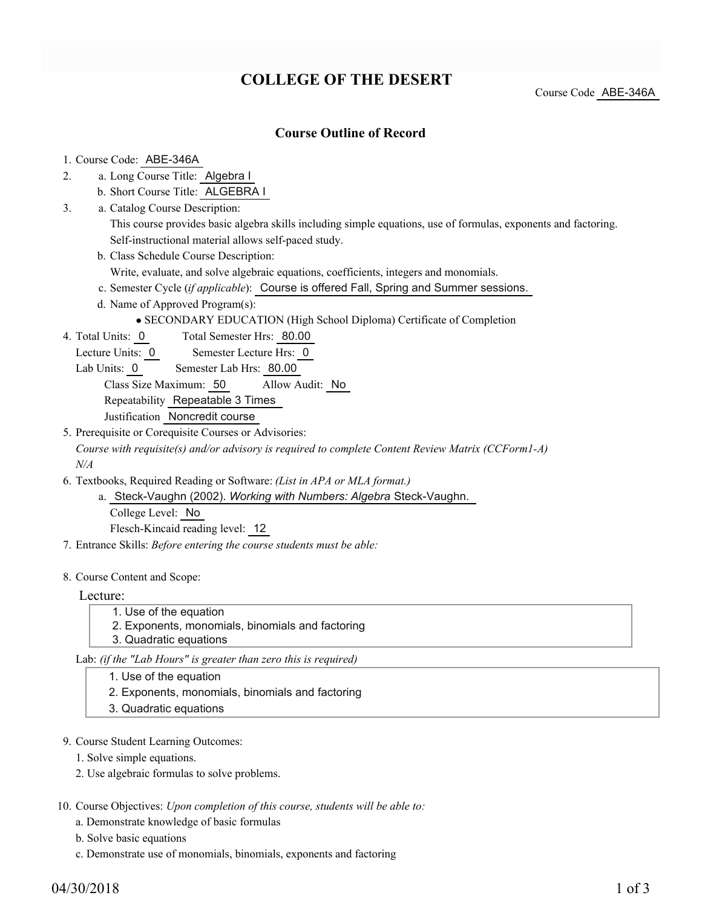# **COLLEGE OF THE DESERT**

Course Code ABE-346A

### **Course Outline of Record**

#### 1. Course Code: ABE-346A

- a. Long Course Title: Algebra I 2.
	- b. Short Course Title: ALGEBRA I
- Catalog Course Description: a. 3.
	- This course provides basic algebra skills including simple equations, use of formulas, exponents and factoring. Self-instructional material allows self-paced study.
	- b. Class Schedule Course Description:

Write, evaluate, and solve algebraic equations, coefficients, integers and monomials.

- c. Semester Cycle (*if applicable*): Course is offered Fall, Spring and Summer sessions.
- d. Name of Approved Program(s):

SECONDARY EDUCATION (High School Diploma) Certificate of Completion

- Total Semester Hrs: 80.00 4. Total Units: 0
	- Lecture Units: 0 Semester Lecture Hrs: 0
	- Lab Units: 0 Semester Lab Hrs: 80.00

Class Size Maximum: 50 Allow Audit: No

Repeatability Repeatable 3 Times

- Justification Noncredit course
- 5. Prerequisite or Corequisite Courses or Advisories:

*Course with requisite(s) and/or advisory is required to complete Content Review Matrix (CCForm1-A) N/A*

- Textbooks, Required Reading or Software: *(List in APA or MLA format.)* 6.
	- Steck-Vaughn (2002). *Working with Numbers: Algebra* Steck-Vaughn. a. College Level: No Flesch-Kincaid reading level: 12
- 7. Entrance Skills: *Before entering the course students must be able:*
- 8. Course Content and Scope:

Lecture:

- 1. Use of the equation
	- 2. Exponents, monomials, binomials and factoring
- 3. Quadratic equations

Lab: *(if the "Lab Hours" is greater than zero this is required)*

- 1. Use of the equation
- 2. Exponents, monomials, binomials and factoring
- 3. Quadratic equations
- 9. Course Student Learning Outcomes:
	- 1. Solve simple equations.
	- 2. Use algebraic formulas to solve problems.
- 10. Course Objectives: Upon completion of this course, students will be able to:
	- a. Demonstrate knowledge of basic formulas
	- b. Solve basic equations
	- c. Demonstrate use of monomials, binomials, exponents and factoring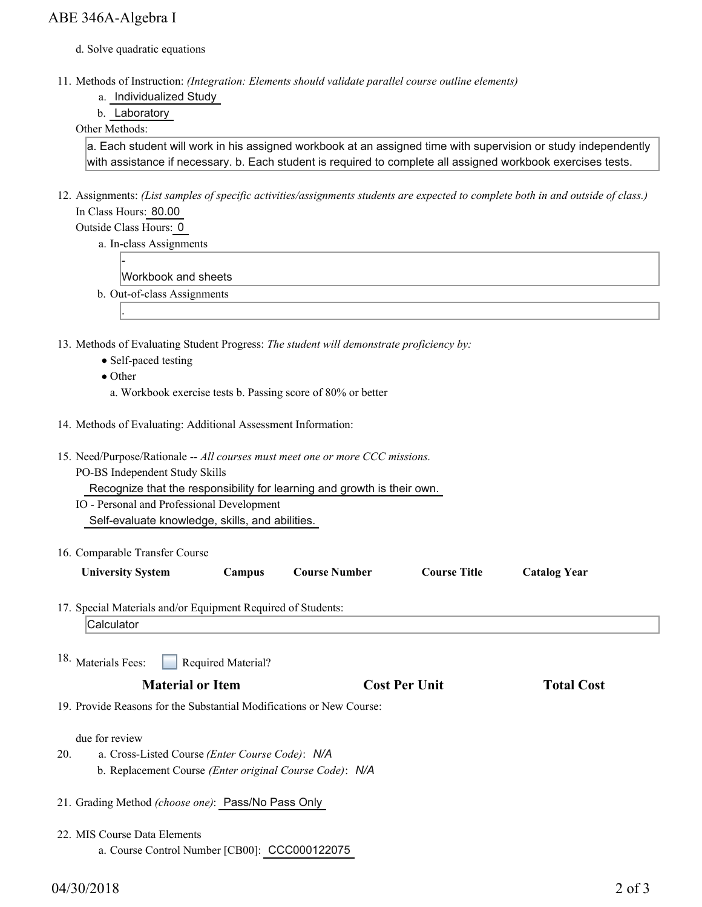- d. Solve quadratic equations
- Methods of Instruction: *(Integration: Elements should validate parallel course outline elements)* 11.
	- a. Individualized Study
	- b. Laboratory

#### Other Methods:

a. Each student will work in his assigned workbook at an assigned time with supervision or study independently with assistance if necessary. b. Each student is required to complete all assigned workbook exercises tests.

- 12. Assignments: (List samples of specific activities/assignments students are expected to complete both in and outside of class.) In Class Hours: 80.00
	- Outside Class Hours: 0
		- a. In-class Assignments

-

- Workbook and sheets
- b. Out-of-class Assignments
- 13. Methods of Evaluating Student Progress: The student will demonstrate proficiency by:
	- Self-paced testing
	- Other

.

- a. Workbook exercise tests b. Passing score of 80% or better
- 14. Methods of Evaluating: Additional Assessment Information:
- 15. Need/Purpose/Rationale -- All courses must meet one or more CCC missions.
	- PO-BS Independent Study Skills

Recognize that the responsibility for learning and growth is their own.

- IO Personal and Professional Development
	- Self-evaluate knowledge, skills, and abilities.
- 16. Comparable Transfer Course

| <b>University System</b> |  |
|--------------------------|--|
|--------------------------|--|

17. Special Materials and/or Equipment Required of Students:

```
Calculator
```
Required Material? 18. Materials Fees:

## **Material or Item Cost Per Unit Total Cost Per Unit Total Cost**

**Campus Course Number Course Title Catalog Year** 

19. Provide Reasons for the Substantial Modifications or New Course:

due for review

- a. Cross-Listed Course *(Enter Course Code)*: *N/A* b. Replacement Course *(Enter original Course Code)*: *N/A* 20.
- 21. Grading Method *(choose one)*: Pass/No Pass Only
- MIS Course Data Elements 22.
	- a. Course Control Number [CB00]: CCC000122075